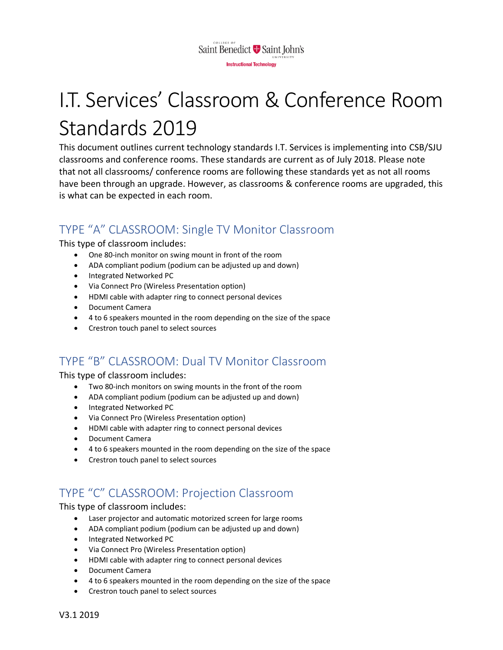

# I.T. Services' Classroom & Conference Room Standards 2019

This document outlines current technology standards I.T. Services is implementing into CSB/SJU classrooms and conference rooms. These standards are current as of July 2018. Please note that not all classrooms/ conference rooms are following these standards yet as not all rooms have been through an upgrade. However, as classrooms & conference rooms are upgraded, this is what can be expected in each room.

## TYPE "A" CLASSROOM: Single TV Monitor Classroom

This type of classroom includes:

- One 80-inch monitor on swing mount in front of the room
- ADA compliant podium (podium can be adjusted up and down)
- Integrated Networked PC
- Via Connect Pro (Wireless Presentation option)
- HDMI cable with adapter ring to connect personal devices
- Document Camera
- 4 to 6 speakers mounted in the room depending on the size of the space
- Crestron touch panel to select sources

### TYPE "B" CLASSROOM: Dual TV Monitor Classroom

This type of classroom includes:

- Two 80-inch monitors on swing mounts in the front of the room
- ADA compliant podium (podium can be adjusted up and down)
- Integrated Networked PC
- Via Connect Pro (Wireless Presentation option)
- HDMI cable with adapter ring to connect personal devices
- Document Camera
- 4 to 6 speakers mounted in the room depending on the size of the space
- Crestron touch panel to select sources

## TYPE "C" CLASSROOM: Projection Classroom

This type of classroom includes:

- Laser projector and automatic motorized screen for large rooms
- ADA compliant podium (podium can be adjusted up and down)
- Integrated Networked PC
- Via Connect Pro (Wireless Presentation option)
- HDMI cable with adapter ring to connect personal devices
- Document Camera
- 4 to 6 speakers mounted in the room depending on the size of the space
- Crestron touch panel to select sources